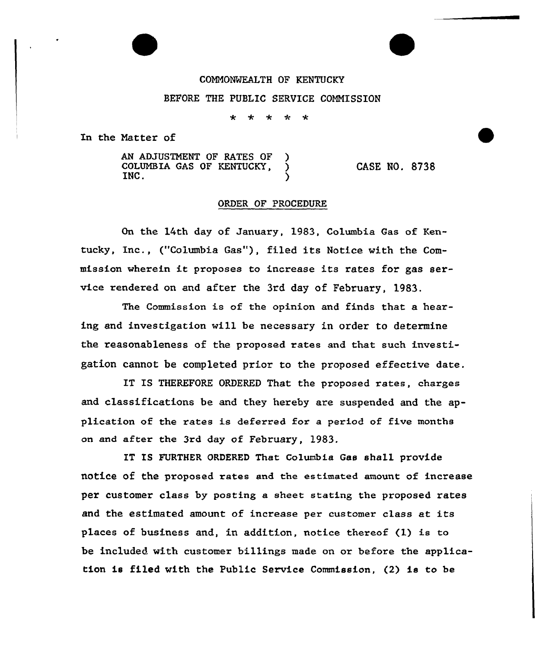## COMMONWEALTH OF KENTUCKY

## BEFORE THE PUBLIC SERVICE CONNISSION

 $\ddot{\textbf{r}}$  $\star$  $\mathbf{r}$  $\ddot{\mathbf{r}}$ 

In the Natter of

AN ADJUSTMENT OF RATES OF COLUMBIA GAS OF KENTUCKY, INC. INC.  $\qquad \qquad$  ) CASE NO. 8738

## ORDER OF PROCEDURE

On the 14th day of January, 1983, Columbia Gas of Kentucky, Inc., ("Columbia Gas"), filed its Notice with the Commission wherein it proposes to increase its rates for gas service rendered on and after the 3rd day of February, 1983.

The Commission is of the opinion and finds that a heaxing and investigation will be necessary in order to determine the reasonableness of the proposed rates and that such investigation cannot be completed priox to the proposed effective date.

IT IS THEREFORE ORDERED That the proposed rates, charges and classifications be and they hereby are suspended and the application of the xates is deferred for a period of five months on and after the 3rd day of February, 1983.

IT IS FURTHER ORDERED That Columbia Gas shall provide notice of the proposed rates and the estimated amount of increase per customer class by posting a sheet stating the proposed rates and the estimated amount of increase per customer class at its places of business and, in addition, notice thereof (1) is to be included with customer billings made on or before the application is filed with the Public Service Commission, (2) is to be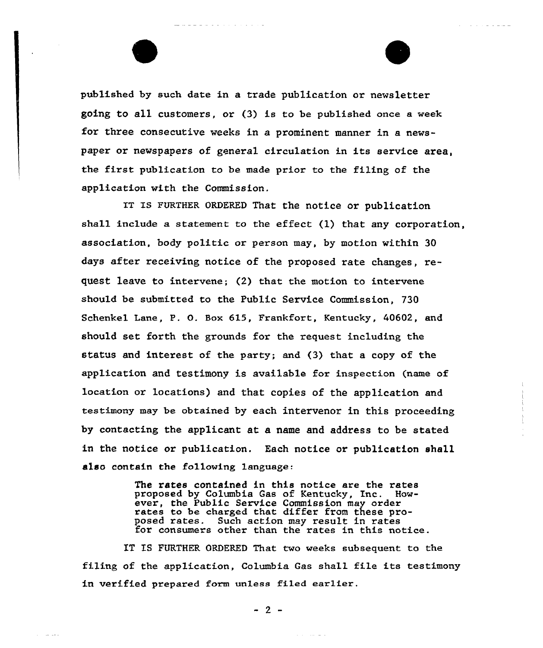published by such date in a trade publication or newsletter going to all customers, or (3) is to be published once a week for three consecutive weeks in a prominent manner in a newspaper or newspapers of general circulation in its service area, the first publication to be made prior to the filing of the application with the Commission.

 $\mathcal{A}$  , and  $\mathcal{A}$  is a set of  $\mathcal{A}$  , and  $\mathcal{A}$ 

والمتواط والمتواط والمتواط والمتواط والمتابعة

IT IS FURTHER ORDERED That the notice or publication shall include a statement to the effect (1) that any corporation, association, body politic or person may, by motion within 30 days after receiving notice of the proposed rate changes, request leave to intervene; (2) that the motion to intervene should be submitted to the Public Service Commission, 730 Schenkel Lane, P. 0. Box 615, Frankfort, Kentucky, 40602, and should set forth the grounds for the request including the status and interest of the party; and (3) that a copy of the application and testimony is available for inspection (name of location or locations) and that copies of the application and testimony may be obtained by each intervenor in this proceeding by contacting the applicant at a name and address to be stated in the notice or publication. Each notice or publication shall also contain the following language.

> The rates contained in this notice are the rates proposed by Columbia Gas of Kentucky, Inc. However, the Public Service Commission may order rates to be charged that differ from these proposed rates. Such action may result in rates for consumers other than the rates in this notice.

IT IS FURTHER ORDERED That two weeks subsequent to the filing of the application, Columbia Gas shall file its testimony in verified prepared form unless filed earlier.

 $-2-$ 

and the second

and a sea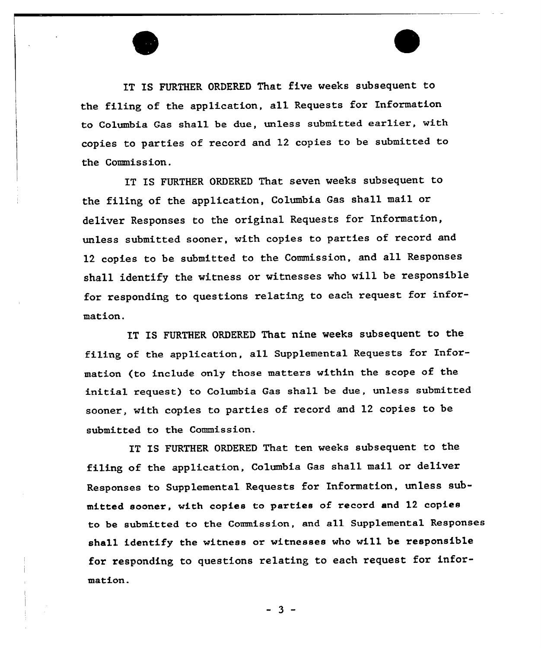

IT IS FURTHER ORDERED That five veeks subsequent to the filing of the application, all Requests for Information to Columbia Gas shall be due, unless submitted earlier, with copies to parties of record and 12 copies to be submitted to the Commission.

IT IS FURTHER ORDERED That seven veeks subsequent to the filing of the application, Columbia Gas shall mail or deliver Responses to the original Requests for Information, unless submitted soonex, with copies to parties of record and <sup>12</sup> copies to be submitted to the Commission, and all Responses shall identify the witness or witnesses who will be responsible for responding to questions relating to each request for information.

IT IS FURTHER ORDERED That nine weeks subsequent to the filing of the application, all Supplemental Requests for Information (to include only those mattexs vithin the scope of the initial request) to Columbia Gas shall be due, unless submitted soonex, with copies to parties of record and 12 copies to be submitted to the Commission.

IT IS FURTHER ORDERED That ten weeks subsequent to the filing of the application, Columbia Gas shall mail or deliver Responses to Supplemental Requests for Information, unless submitted sooner, with copies to parties of record and 12 copies to be submitted to the Commission, and all Supplemental Responses shall identify the vitness or vitnesses vho will be responsible for responding to questions relating to each request for information.

 $-3 -$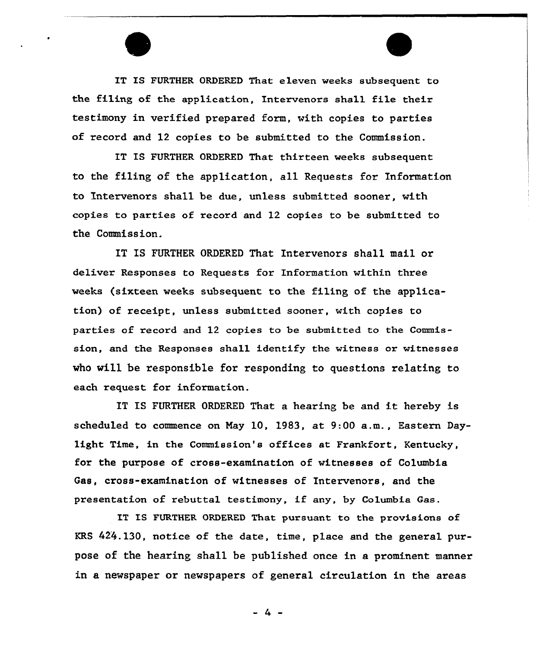IT IS FURTHER ORDERED That eleven weeks subsequent to the filing of the application, Intervenors shall file their testimony in verified prepared form, with copies to parties of record and 12 copies to be submitted to the Commission.

IT IS FURTHER ORDERED That thirteen weeks subsequent to the filing of the application, all Requests for Information to Intervenors shall be due, unless submitted sooner, with copies to parties of record and 12 copies to be submitted to the Commission.

IT IS FURTHER ORDERED That Intervenors shall mail or deliver Responses to Requests for Information within three weeks (sixteen weeks subsequent to the filing of the application) of receipt, unless submitted sooner, with copies to parties of record and 12 copies to be submitted to the Commission, and the Responses shall identify the witness or witnesses who will be responsible for responding to questions relating to each request for information.

IT IS FURTHER ORDERED That <sup>a</sup> hearing be and it hereby is scheduled to commence on Nay 10, 1983, at 9:00 a.m., Eastern Daylight Time, in the Commission's offices at Frankfort, Kentucky, for the purpose of cross-examination of witnesses of Columbia Gas, cross-examination of witnesses of Intervenors, and the presentation of rebuttal testimony, if any, by Columbia Gas.

IT IS FURTHER ORDERED That pursuant to the provisions of KRS 424.130, notice of the date, time, place and the general purpose of the hearing shall be published once in a pxominent manner in a newspaper or newspapers of general circulation in the areas

 $-4 -$